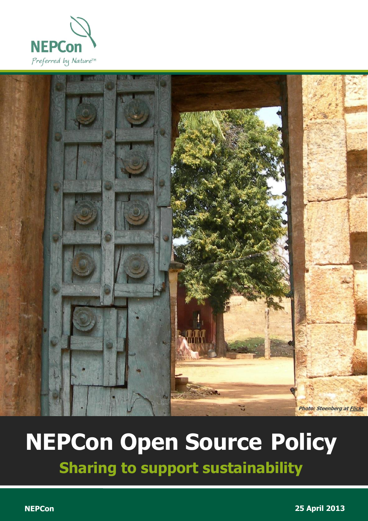



# **NEPCon Open Source Policy**

**Sharing to support sustainability**

1 NEPCon Open Source Policy | April <sup>2013</sup>

**NEPCon 25 April 2013**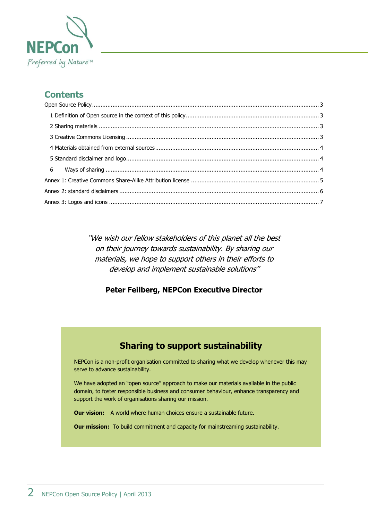

### **Contents**

"We wish our fellow stakeholders of this planet all the best on their journey towards sustainability. By sharing our materials, we hope to support others in their efforts to develop and implement sustainable solutions"

#### **Peter Feilberg, NEPCon Executive Director**

#### **Sharing to support sustainability**

NEPCon is a non-profit organisation committed to sharing what we develop whenever this may serve to advance sustainability.

We have adopted an "open source" approach to make our materials available in the public domain, to foster responsible business and consumer behaviour, enhance transparency and support the work of organisations sharing our mission.

**Our vision:** A world where human choices ensure a sustainable future.

**Our mission:** To build commitment and capacity for mainstreaming sustainability.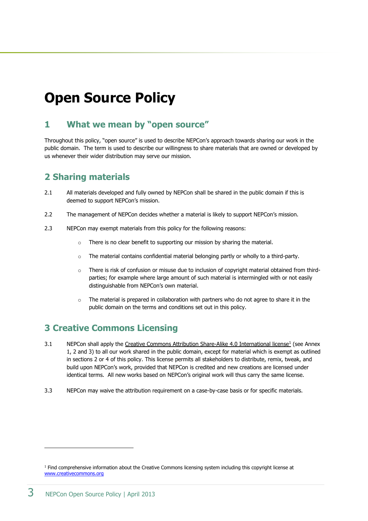## <span id="page-2-0"></span>**Open Source Policy**

#### <span id="page-2-1"></span>**1 What we mean by "open source"**

Throughout this policy, "open source" is used to describe NEPCon's approach towards sharing our work in the public domain. The term is used to describe our willingness to share materials that are owned or developed by us whenever their wider distribution may serve our mission.

#### <span id="page-2-2"></span>**2 Sharing materials**

- 2.1 All materials developed and fully owned by NEPCon shall be shared in the public domain if this is deemed to support NEPCon's mission.
- 2.2 The management of NEPCon decides whether a material is likely to support NEPCon's mission.
- 2.3 NEPCon may exempt materials from this policy for the following reasons:
	- o There is no clear benefit to supporting our mission by sharing the material.
	- $\circ$  The material contains confidential material belonging partly or wholly to a third-party.
	- $\circ$  There is risk of confusion or misuse due to inclusion of copyright material obtained from thirdparties; for example where large amount of such material is intermingled with or not easily distinguishable from NEPCon's own material.
	- $\circ$  The material is prepared in collaboration with partners who do not agree to share it in the public domain on the terms and conditions set out in this policy.

#### <span id="page-2-3"></span>**3 Creative Commons Licensing**

- 3.1 NEPCon shall apply the [Creative Commons Attribution](http://creativecommons.org/licenses/by/3.0/) Share-Alike 4.0 International license<sup>1</sup> (see Annex 1, 2 and 3) to all our work shared in the public domain, except for material which is exempt as outlined in sections 2 or 4 of this policy. This license permits all stakeholders to distribute, remix, tweak, and build upon NEPCon's work, provided that NEPCon is credited and new creations are licensed under identical terms. All new works based on NEPCon's original work will thus carry the same license.
- <span id="page-2-4"></span>3.3 NEPCon may waive the attribution requirement on a case-by-case basis or for specific materials.

-

 $1$  Find comprehensive information about the Creative Commons licensing system including this copyright license at [www.creativecommons.org](http://www.creativecommons.org/)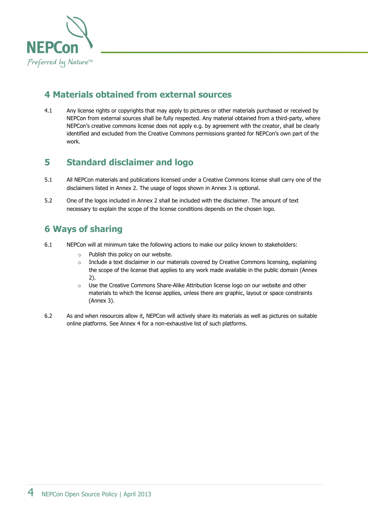

#### **4 Materials obtained from external sources**

4.1 Any license rights or copyrights that may apply to pictures or other materials purchased or received by NEPCon from external sources shall be fully respected. Any material obtained from a third-party, where NEPCon's creative commons license does not apply e.g. by agreement with the creator, shall be clearly identified and excluded from the Creative Commons permissions granted for NEPCon's own part of the work.

#### <span id="page-3-0"></span>**5 Standard disclaimer and logo**

- 5.1 All NEPCon materials and publications licensed under a Creative Commons license shall carry one of the disclaimers listed in Annex 2. The usage of logos shown in Annex 3 is optional.
- 5.2 One of the logos included in Annex 2 shall be included with the disclaimer. The amount of text necessary to explain the scope of the license conditions depends on the chosen logo.

#### <span id="page-3-1"></span>**6 Ways of sharing**

- 6.1 NEPCon will at minimum take the following actions to make our policy known to stakeholders:
	- o Publish this policy on our website.
	- $\circ$  Include a text disclaimer in our materials covered by Creative Commons licensing, explaining the scope of the license that applies to any work made available in the public domain (Annex 2).
	- o Use the Creative Commons Share-Alike Attribution license logo on our website and other materials to which the license applies, unless there are graphic, layout or space constraints (Annex 3).
- 6.2 As and when resources allow it, NEPCon will actively share its materials as well as pictures on suitable online platforms. See Annex 4 for a non-exhaustive list of such platforms.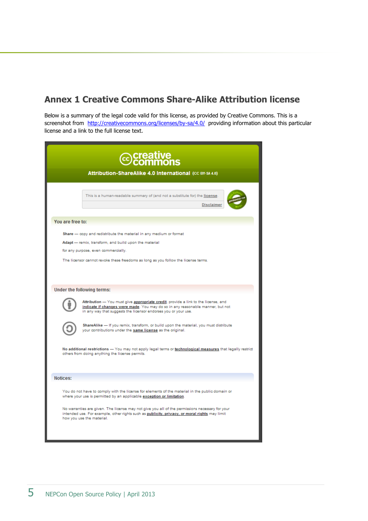#### <span id="page-4-0"></span>**Annex 1 Creative Commons Share-Alike Attribution license**

Below is a summary of the legal code valid for this license, as provided by Creative Commons. This is a screenshot from <http://creativecommons.org/licenses/by-sa/4.0/> providing information about this particular license and a link to the full license text.

| <b><i></i></b> ⊙creative commons                                                                                                                                                                                                                         |
|----------------------------------------------------------------------------------------------------------------------------------------------------------------------------------------------------------------------------------------------------------|
| Attribution-ShareAlike 4.0 International (CC BY-SA 4.0)                                                                                                                                                                                                  |
| This is a human-readable summary of (and not a substitute for) the license.<br><b>Disclaimer</b>                                                                                                                                                         |
| You are free to:                                                                                                                                                                                                                                         |
| Share - copy and redistribute the material in any medium or format<br>Adapt - remix, transform, and build upon the material<br>for any purpose, even commercially.<br>The licensor cannot revoke these freedoms as long as you follow the license terms. |
| Under the following terms:                                                                                                                                                                                                                               |
| Attribution - You must give appropriate credit, provide a link to the license, and<br>indicate if changes were made. You may do so in any reasonable manner, but not<br>in any way that suggests the licensor endorses you or your use.                  |
| ShareAlike - If you remix, transform, or build upon the material, you must distribute<br>your contributions under the same license as the original.                                                                                                      |
| No additional restrictions - You may not apply legal terms or technological measures that legally restrict<br>others from doing anything the license permits.                                                                                            |
| Notices:                                                                                                                                                                                                                                                 |
| You do not have to comply with the license for elements of the material in the public domain or<br>where your use is permitted by an applicable exception or limitation.                                                                                 |
| No warranties are given. The license may not give you all of the permissions necessary for your<br>intended use. For example, other rights such as publicity, privacy, or moral rights may limit<br>how you use the material.                            |
|                                                                                                                                                                                                                                                          |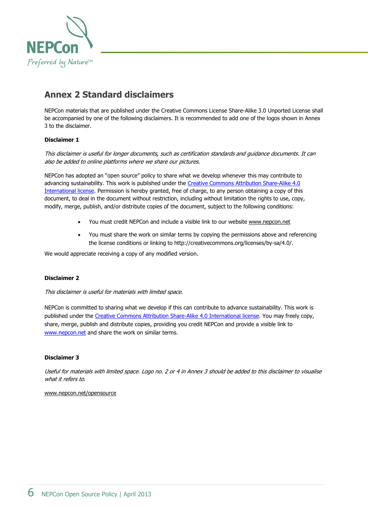

#### <span id="page-5-0"></span>**Annex 2 Standard disclaimers**

NEPCon materials that are published under the Creative Commons License Share-Alike 3.0 Unported License shall be accompanied by one of the following disclaimers. It is recommended to add one of the logos shown in Annex 3 to the disclaimer.

#### **Disclaimer 1**

This disclaimer is useful for longer documents, such as certification standards and guidance documents. It can also be added to online platforms where we share our pictures.

NEPCon has adopted an "open source" policy to share what we develop whenever this may contribute to advancing sustainability. This work is published under the [Creative Commons Attribution](http://creativecommons.org/licenses/by-sa/4.0/) Share-Alike 4.0 [International](http://creativecommons.org/licenses/by-sa/4.0/) license. Permission is hereby granted, free of charge, to any person obtaining a copy of this document, to deal in the document without restriction, including without limitation the rights to use, copy, modify, merge, publish, and/or distribute copies of the document, subject to the following conditions:

- You must credit NEPCon and include a visible link to our website [www.nepcon.net](http://www.nepcon.net/)
- You must share the work on similar terms by copying the permissions above and referencing the license conditions or linking to http://creativecommons.org/licenses/by-sa/4.0/.

We would appreciate receiving a copy of any modified version.

#### **Disclaimer 2**

This disclaimer is useful for materials with limited space.

NEPCon is committed to sharing what we develop if this can contribute to advance sustainability. This work is published under the [Creative Commons Attribution Share-Alike 4.0 International](http://creativecommons.org/licenses/by-sa/4.0/) license. You may freely copy, share, merge, publish and distribute copies, providing you credit NEPCon and provide a visible link to [www.nepcon.net](http://www.nepcon.net/) and share the work on similar terms.

#### **Disclaimer 3**

Useful for materials with limited space. Logo no. 2 or 4 in Annex 3 should be added to this disclaimer to visualise what it refers to.

<span id="page-5-1"></span>[www.nepcon.net/opensource](http://www.nepcon.net/opensource)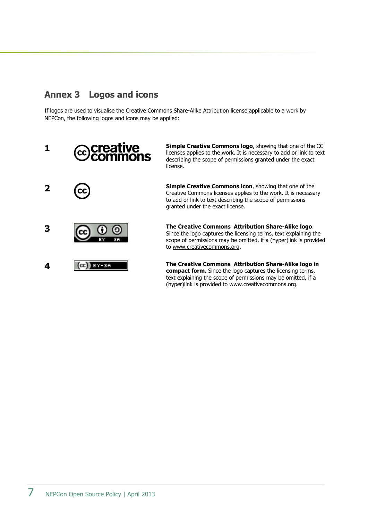#### **Annex 3 Logos and icons**

If logos are used to visualise the Creative Commons Share-Alike Attribution license applicable to a work by NEPCon, the following logos and icons may be applied:



**Simple Creative Commons logo**, showing that one of the CC licenses applies to the work. It is necessary to add or link to text describing the scope of permissions granted under the exact license.

**Simple Creative Commons icon**, showing that one of the Creative Commons licenses applies to the work. It is necessary to add or link to text describing the scope of permissions granted under the exact license.

**The Creative Commons Attribution Share-Alike logo**. Since the logo captures the licensing terms, text explaining the scope of permissions may be omitted, if a (hyper)link is provided to [www.creativecommons.org.](http://www.creativecommons.org/)

**The Creative Commons Attribution Share-Alike logo in compact form.** Since the logo captures the licensing terms, text explaining the scope of permissions may be omitted, if a (hyper)link is provided to [www.creativecommons.org.](http://www.creativecommons.org/)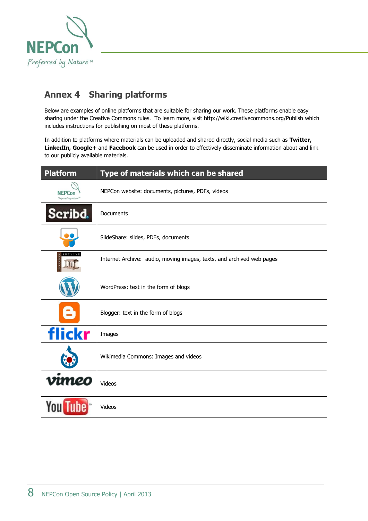

## **Annex 4 Sharing platforms**

Below are examples of online platforms that are suitable for sharing our work. These platforms enable easy sharing under the Creative Commons rules. To learn more, visit<http://wiki.creativecommons.org/Publish> which includes instructions for publishing on most of these platforms.

In addition to platforms where materials can be uploaded and shared directly, social media such as **Twitter, LinkedIn, Google+** and **Facebook** can be used in order to effectively disseminate information about and link to our publicly available materials.

| <b>Platform</b>                                    | Type of materials which can be shared                                 |
|----------------------------------------------------|-----------------------------------------------------------------------|
| <b>NFPCor</b><br>Preferred by Nature <sup>TM</sup> | NEPCon website: documents, pictures, PDFs, videos                     |
| Scribd.                                            | <b>Documents</b>                                                      |
|                                                    | SlideShare: slides, PDFs, documents                                   |
| ARCHIVE                                            | Internet Archive: audio, moving images, texts, and archived web pages |
|                                                    | WordPress: text in the form of blogs                                  |
|                                                    | Blogger: text in the form of blogs                                    |
| flickr                                             | Images                                                                |
|                                                    | Wikimedia Commons: Images and videos                                  |
| vımeo                                              | Videos                                                                |
|                                                    | Videos                                                                |